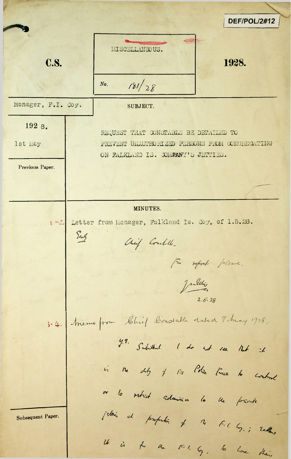**DEF/POL/2#12** MISCELLANEOUS. **C.S.** 1928.  $181/28$  $No.$ Manager, F.I. Coy. SUBJECT. 192 8. REQUEST THAT CONSTABLE BE DETAILED TO 1st May PREVENT UNAUTHORIZED PERSONS FROM CONGREGATING ON FALKLAND IS. COMPANY'S JETTIES. Previous Paper. MINUTES. 1-2 Letter from Manager, Falkland Is. Coy, of 1.5.28. Eng Chief Combille-For report please. Julie 3-4. Memo from Chief Constable dated 7 may 1928. y. Subithed. I do not see that it is the dity of the Police Force to control or lo retrict admira lo lle forivita jednic al profundio of a F. ( G.; radher Subsequent Paper. It is to the FIL G, to live their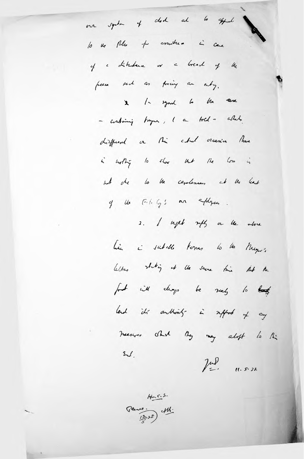our system of ded at 6 appeal lo ve plus per assuntara in care of a diturbance or Great  $4\frac{d}{d}$  $\epsilon$ free sent as pring an entry. 1- syard to the same  $\mathbf{x}$ - containing tranquer, I a told a what, disfferent or this cheat origin there in worthing to show that the  $\sqrt{2}$  $\ddot{a}$ wh the to be capalences at the least of the Filig's an applying 3. I sept refly on the above his i subell termes to be Mayor's letter stating of the same this that the  $f$ will change be reely  $10$ it's authority in reffort of any lend measures Shot they may about to this  $m$  $\int_{-}^{1} u \, dx$  11.5.28

> $146.5.$  $\frac{12}{12}25$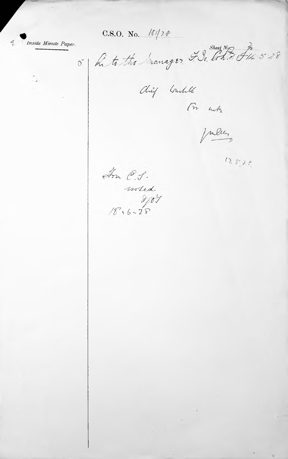C.S.O. No.  $\sqrt{\frac{f}{2}t}$ 

Inside Minute Paper.

 $\mathbb{C}_{\mathfrak{a}}$ 

 $\frac{\partial \mathcal{L}}{\partial x}$ 

5. R. t. the hanager. IS. Cond F14. 5:28

Chief Constable

(m nots

Julien

 $(2.526)$ 

In C.J.  $m$  ded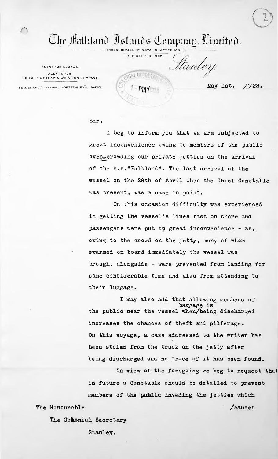$\overline{\mathbb{C}}$ lır Halkland İslands Company, Cimited. INCORPORATED BY ROYAL CHARTER I85I.

REGISTERED I9O2.

**MAI SECAL** 

AGENT FOR LLOYDS. AGENTS FOR THE PACIFIC STEAM NAVICATION COMPANY.

ttanley.

TELEGRAMS, FLEETWING PORTSTANLEY ARADIO **May 1st**, 1928.

## Sir,

I beg to inform, you that we are subjected to great inconvenience owing to members of the public vessel on the 28th of April when the Chief Constable was present, was a case in point. over-crowding our private jetties on the arrival of the s.s."Falkland". The last arrival of the

On this occasion difficulty was experienced in getting the vessel\*s lines fast on shore and passengers were put to great inconvenience - as, owing to the crowd on the jetty, many of whom swarmed on board immediately the vessel was brought alongside - were prevented from landing for some considerable time and also from attending to their luggage.

increases the chances of theft and pilferage. On this voyage, a case addressed to. the writer has been stolen from the truck on the jetty after being discharged and no trace of it has been found. I may also add that allowing members of baggage is the public near the vessel when/being discharged

In view of the foregoing we beg to request thai in future a Constable should be detailed to prevent members of the public invading the jetties which The Honourable */causes* 

The Colonial Secretary

Stanley.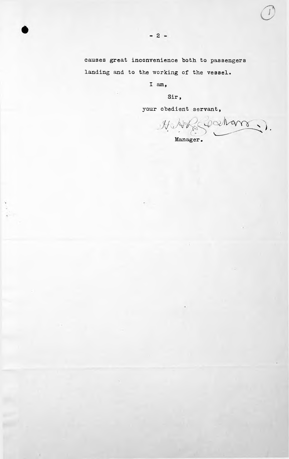causes great inconvenience both to passengers landing and to the working of the vessel.

I am,

Sir,

your obedient servant,

). Manager•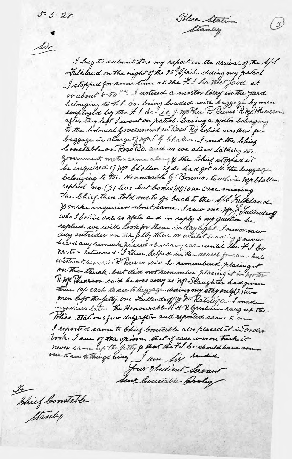Tolice Station Stanley

 $\binom{3}{3}$ 

Six

I beg to submit this my report on the arrival of the A/S. Falkland on the night of the 28 April. during my patrol I stopped for some time at the F. I. Co. West fard at or about 8-50 PM I noticed a mostor lowy in the yard belonging to F. I. Co. being loaded with baggage by men<br>employed by the F. I bo ie J. McPhe R. Reeves R. McPheasson. to the Colonial Government on Ross Rd Which was there for baggage in charge of Mr. L.G. Challen. I met the Chief Constable on Ross Rd. and as we stood talking the government motor came along to the bhief stopped it he inquired of MP bhallen if he had got all the luggage belonging to the Honourable of Bonner, to which Mpbhallen The Chief then told me to go back to the All Falkland I make inquiries about same. I saw one Mr. of Sullending who I believe acts as Water and in reply to my question he replied. we will look for them in daylight. I never saw any outsides on the Jetty there or while the dring & never heard any remark passed about any care until the 7-1 bo notor returned. I then helped in the search for case but without results . R. Reeves said he remembered placing it on The truck. but did not remember. placing it in motor R. Mc Phearson said he was sorry as . M. Slaughter had given there 10/ each to see to higgage. during my stay only (2) two men left the Jetty, one Sullendroff of W Ratcliff I made There stationaque days after and reported same to me I reported same to bhief boutable also placed it in Order took. I are of the opion that if case was on truck it frux Obedient Servant Sent Constable Groly

 $\frac{y}{2}$ Chief Constable Stanley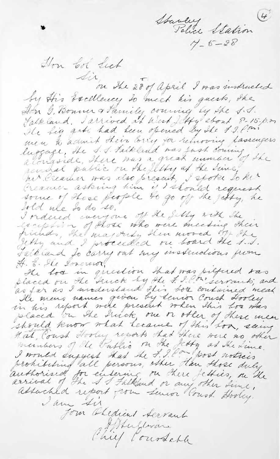Stanley<br>Police Station I'm bot feet Sir, The 28 of april I was instructed by His Excellence, to meet his guests, the Falkland. I arrived at West Letty about 8-15. p.m. He hig gate had been opened by the f.J. Com men to admit their loving for removing lassengers<br>luggage, the 1.1. Faikland was just coming alongside, there was a great unmain of the sended public on the letty of the sine. nir Preamer was also present, I spoke to her Creamer asking him if I should request some of shore people to go of the jetty, he told use to do so. I ordered everyone off the filly with the exception of those who were meeting sheer friends, the majority then moved off the Falkland to carry out my instructions from H. E. Sle Tonerwor, He been in girection that was pittered too<br>placed on the truck by the f. Chr. servants, and<br>as far as I anderstand this box contained meat<br>the mens names given by tenior Coust Hooley<br>in his report were present when this bo Hat Couch Hooley reports had there were no other minters of the Public on the Jetty at the Lime.<br>I would suggest that the F. I. Composed notices prohibiting all persons, other dan those duly<br>authorised for entering on there fetties, on the associated report from Lewior Pours. Hookey. I am sis Form Obedient Servant